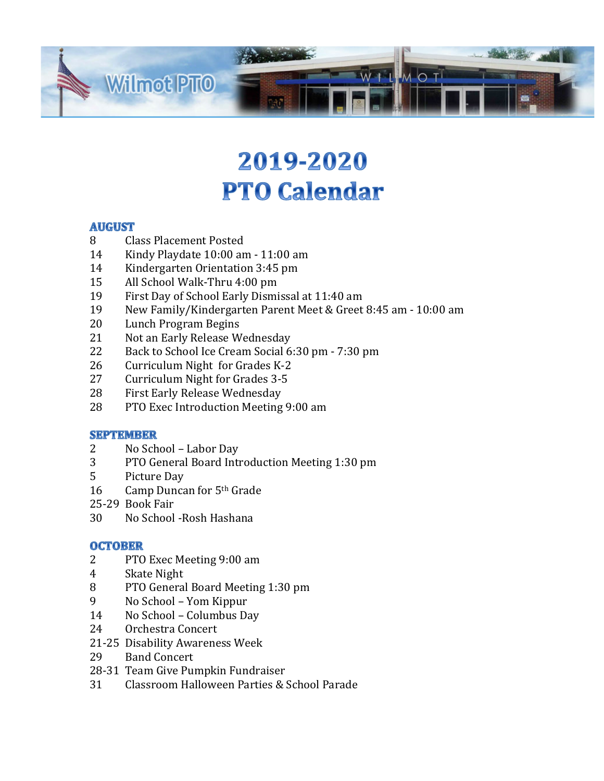

# 2019-2020 **PTO Calendar**

## **AUGUST**

- 8 Class Placement Posted
- 14 Kindy Playdate 10:00 am 11:00 am
- 14 Kindergarten Orientation 3:45 pm
- 15 All School Walk-Thru 4:00 pm
- 19 First Day of School Early Dismissal at 11:40 am
- 19 New Family/Kindergarten Parent Meet & Greet 8:45 am 10:00 am
- 20 Lunch Program Begins
- 21 Not an Early Release Wednesday
- 22 Back to School Ice Cream Social 6:30 pm 7:30 pm
- 26 Curriculum Night for Grades K-2
- 27 Curriculum Night for Grades 3-5
- 28 First Early Release Wednesday
- 28 PTO Exec Introduction Meeting 9:00 am

#### **SEPTEMBER**

- 2 No School Labor Day
- 3 PTO General Board Introduction Meeting 1:30 pm
- 5 Picture Day
- 16 Camp Duncan for  $5<sup>th</sup>$  Grade
- 25-29 Book Fair
- 30 No School -Rosh Hashana

#### **OCTOBER**

- 2 PTO Exec Meeting 9:00 am
- 4 Skate Night
- 8 PTO General Board Meeting 1:30 pm
- 9 No School Yom Kippur
- 14 No School Columbus Day
- 24 Orchestra Concert
- 21-25 Disability Awareness Week
- 29 Band Concert
- 28-31 Team Give Pumpkin Fundraiser
- 31 Classroom Halloween Parties & School Parade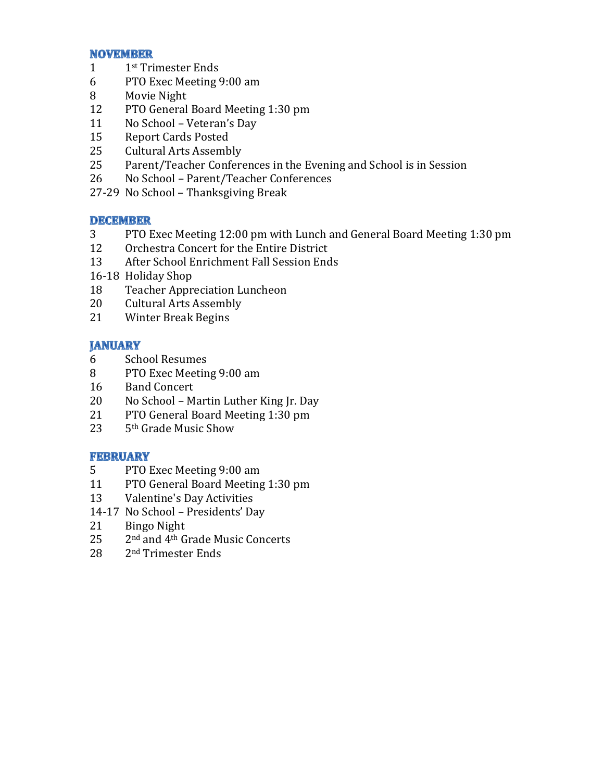#### **NOVEMBER**

- $1$  1st Trimester Ends
- 6 PTO Exec Meeting 9:00 am
- 8 Movie Night
- 12 PTO General Board Meeting 1:30 pm
- 11 No School Veteran's Day
- 15 Report Cards Posted
- 25 Cultural Arts Assembly
- 25 Parent/Teacher Conferences in the Evening and School is in Session
- 26 No School Parent/Teacher Conferences
- 27-29 No School Thanksgiving Break

## **DECEMBER**

- 3 PTO Exec Meeting 12:00 pm with Lunch and General Board Meeting 1:30 pm
- 12 Orchestra Concert for the Entire District
- 13 After School Enrichment Fall Session Ends
- 16-18 Holiday Shop
- 18 Teacher Appreciation Luncheon
- 20 Cultural Arts Assembly
- 21 Winter Break Begins

## **IANUARY**

- 6 School Resumes
- 8 PTO Exec Meeting 9:00 am
- 16 Band Concert
- 20 No School Martin Luther King Jr. Day
- 21 PTO General Board Meeting 1:30 pm
- 23 5<sup>th</sup> Grade Music Show

## **FEBRUARY**

- 5 PTO Exec Meeting 9:00 am
- 11 PTO General Board Meeting 1:30 pm
- 13 Valentine's Day Activities
- 14-17 No School Presidents' Day
- 21 Bingo Night
- 25 2<sup>nd</sup> and 4<sup>th</sup> Grade Music Concerts
- 28 2<sup>nd</sup> Trimester Ends